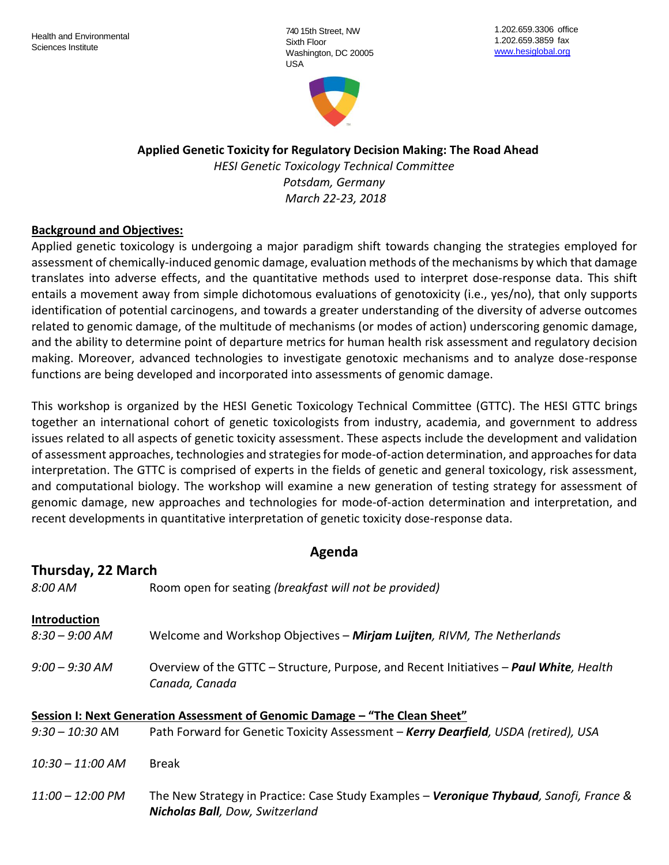740 15th Street, NW Sixth Floor Washington, DC 20005 USA



# **Applied Genetic Toxicity for Regulatory Decision Making: The Road Ahead**

*HESI Genetic Toxicology Technical Committee Potsdam, Germany March 22-23, 2018*

### **Background and Objectives:**

Applied genetic toxicology is undergoing a major paradigm shift towards changing the strategies employed for assessment of chemically-induced genomic damage, evaluation methods of the mechanisms by which that damage translates into adverse effects, and the quantitative methods used to interpret dose-response data. This shift entails a movement away from simple dichotomous evaluations of genotoxicity (i.e., yes/no), that only supports identification of potential carcinogens, and towards a greater understanding of the diversity of adverse outcomes related to genomic damage, of the multitude of mechanisms (or modes of action) underscoring genomic damage, and the ability to determine point of departure metrics for human health risk assessment and regulatory decision making. Moreover, advanced technologies to investigate genotoxic mechanisms and to analyze dose-response functions are being developed and incorporated into assessments of genomic damage.

This workshop is organized by the HESI Genetic Toxicology Technical Committee (GTTC). The HESI GTTC brings together an international cohort of genetic toxicologists from industry, academia, and government to address issues related to all aspects of genetic toxicity assessment. These aspects include the development and validation of assessment approaches, technologies and strategies for mode-of-action determination, and approaches for data interpretation. The GTTC is comprised of experts in the fields of genetic and general toxicology, risk assessment, and computational biology. The workshop will examine a new generation of testing strategy for assessment of genomic damage, new approaches and technologies for mode-of-action determination and interpretation, and recent developments in quantitative interpretation of genetic toxicity dose-response data.

# **Agenda**

| Thursday, 22 March         |                                                                                                                                    |
|----------------------------|------------------------------------------------------------------------------------------------------------------------------------|
| 8:00 AM                    | Room open for seating (breakfast will not be provided)                                                                             |
| Introduction               |                                                                                                                                    |
| $8:30 - 9:00$ AM           | Welcome and Workshop Objectives - Mirjam Luijten, RIVM, The Netherlands                                                            |
| $9:00 - 9:30$ AM           | Overview of the GTTC – Structure, Purpose, and Recent Initiatives – Paul White, Health<br>Canada, Canada                           |
|                            | Session I: Next Generation Assessment of Genomic Damage - "The Clean Sheet"                                                        |
| $9:30 - 10:30$ AM          | Path Forward for Genetic Toxicity Assessment - Kerry Dearfield, USDA (retired), USA                                                |
| $10:30 - 11:00$ AM         | <b>Break</b>                                                                                                                       |
| $11:00 - 12:00 \text{ PM}$ | The New Strategy in Practice: Case Study Examples - Veronique Thybaud, Sanofi, France &<br><b>Nicholas Ball</b> , Dow, Switzerland |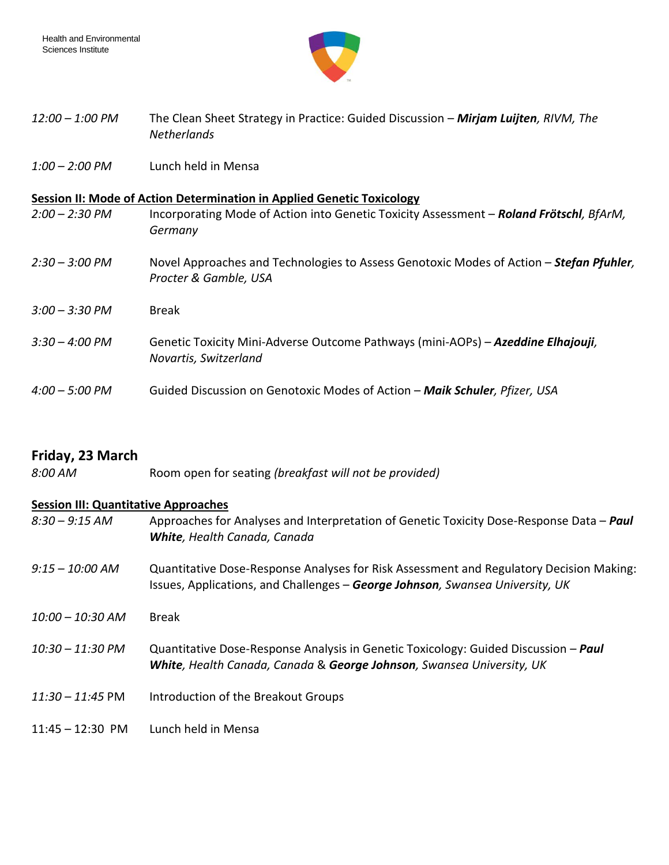

- *12:00 – 1:00 PM* The Clean Sheet Strategy in Practice: Guided Discussion *Mirjam Luijten, RIVM, The Netherlands*
- *1:00 – 2:00 PM* Lunch held in Mensa

#### **Session II: Mode of Action Determination in Applied Genetic Toxicology**

- *2:00 – 2:30 PM* Incorporating Mode of Action into Genetic Toxicity Assessment *Roland Frötschl, BfArM, Germany*
- *2:30 – 3:00 PM* Novel Approaches and Technologies to Assess Genotoxic Modes of Action *Stefan Pfuhler, Procter & Gamble, USA*
- *3:00 – 3:30 PM* Break
- *3:30 – 4:00 PM* Genetic Toxicity Mini-Adverse Outcome Pathways (mini-AOPs) *Azeddine Elhajouji, Novartis, Switzerland*
- *4:00 – 5:00 PM* Guided Discussion on Genotoxic Modes of Action *Maik Schuler, Pfizer, USA*

## **Friday, 23 March**

*8:00 AM* Room open for seating *(breakfast will not be provided)*

#### **Session III: Quantitative Approaches**

*8:30 – 9:15 AM* Approaches for Analyses and Interpretation of Genetic Toxicity Dose-Response Data – *Paul White, Health Canada, Canada 9:15 – 10:00 AM* Quantitative Dose-Response Analyses for Risk Assessment and Regulatory Decision Making: Issues, Applications, and Challenges – *George Johnson, Swansea University, UK 10:00 – 10:30 AM* Break *10:30 – 11:30 PM* Quantitative Dose-Response Analysis in Genetic Toxicology: Guided Discussion – *Paul White, Health Canada, Canada* & *George Johnson, Swansea University, UK 11:30 – 11:45* PM Introduction of the Breakout Groups 11:45 – 12:30 PM Lunch held in Mensa